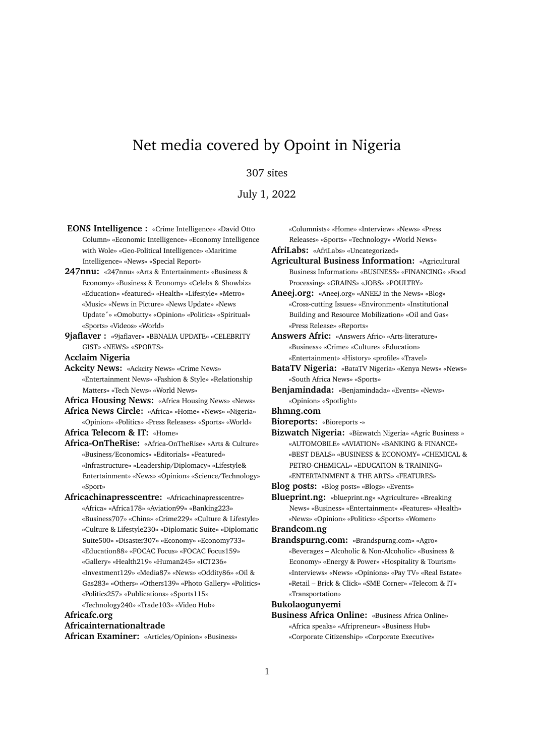# Net media covered by Opoint in Nigeria

# 307 sites

July 1, 2022

- **EONS Intelligence :** «Crime Intelligence» «David Otto Column» «Economic Intelligence» «Economy Intelligence with Wole» «Geo-Political Intelligence» «Maritime Intelligence» «News» «Special Report»
- **247nnu:** «247nnu» «Arts & Entertainment» «Business & Economy» «Business & Economy» «Celebs & Showbiz» «Education» «featured» «Health» «Lifestyle» «Metro» «Music» «News in Picture» «News Update» «News Updateˇ» «Omobutty» «Opinion» «Politics» «Spiritual» «Sports» «Videos» «World»
- **9jaflaver :** «9jaflaver» «BBNAIJA UPDATE» «CELEBRITY GIST» «NEWS» «SPORTS»

**Acclaim Nigeria**

**Ackcity News:** «Ackcity News» «Crime News» «Entertainment News» «Fashion & Style» «Relationship Matters» «Tech News» «World News»

**Africa Housing News:** «Africa Housing News» «News»

- **Africa News Circle:** «Africa» «Home» «News» «Nigeria» «Opinion» «Politics» «Press Releases» «Sports» «World»
- **Africa Telecom & IT:** «Home»
- **Africa-OnTheRise:** «Africa-OnTheRise» «Arts & Culture» «Business/Economics» «Editorials» «Featured» «Infrastructure» «Leadership/Diplomacy» «Lifestyle& Entertainment» «News» «Opinion» «Science/Technology» «Sport»
- **Africachinapresscentre:** «Africachinapresscentre» «Africa» «Africa178» «Aviation99» «Banking223» «Business707» «China» «Crime229» «Culture & Lifestyle» «Culture & Lifestyle230» «Diplomatic Suite» «Diplomatic Suite500» «Disaster307» «Economy» «Economy733» «Education88» «FOCAC Focus» «FOCAC Focus159» «Gallery» «Health219» «Human245» «ICT236» «Investment129» «Media87» «News» «Oddity86» «Oil & Gas283» «Others» «Others139» «Photo Gallery» «Politics» «Politics257» «Publications» «Sports115» «Technology240» «Trade103» «Video Hub»

**Africafc.org**

#### **Africainternationaltrade**

**African Examiner:** «Articles/Opinion» «Business»

«Columnists» «Home» «Interview» «News» «Press Releases» «Sports» «Technology» «World News»

**AfriLabs:** «AfriLabs» «Uncategorized»

- **Agricultural Business Information:** «Agricultural Business Information» «BUSINESS» «FINANCING» «Food Processing» «GRAINS» «JOBS» «POULTRY»
- **Aneej.org:** «Aneej.org» «ANEEJ in the News» «Blog» «Cross-cutting Issues» «Environment» «Institutional Building and Resource Mobilization» «Oil and Gas» «Press Release» «Reports»
- **Answers Afric:** «Answers Afric» «Arts-literature» «Business» «Crime» «Culture» «Education» «Entertainment» «History» «profile» «Travel»
- **BataTV Nigeria:** «BataTV Nigeria» «Kenya News» «News» «South Africa News» «Sports»
- **Benjamindada:** «Benjamindada» «Events» «News» «Opinion» «Spotlight»

# **Bhmng.com**

**Bioreports:** «Bioreports -»

**Bizwatch Nigeria:** «Bizwatch Nigeria» «Agric Business » «AUTOMOBILE» «AVIATION» «BANKING & FINANCE» «BEST DEALS» «BUSINESS & ECONOMY» «CHEMICAL & PETRO-CHEMICAL» «EDUCATION & TRAINING» «ENTERTAINMENT & THE ARTS» «FEATURES»

**Blog posts:** «Blog posts» «Blogs» «Events»

**Blueprint.ng:** «blueprint.ng» «Agriculture» «Breaking News» «Business» «Entertainment» «Features» «Health» «News» «Opinion» «Politics» «Sports» «Women»

# **Brandcom.ng**

**Brandspurng.com:** «Brandspurng.com» «Agro» «Beverages – Alcoholic & Non-Alcoholic» «Business & Economy» «Energy & Power» «Hospitality & Tourism» «Interviews» «News» «Opinions» «Pay TV» «Real Estate» «Retail – Brick & Click» «SME Corner» «Telecom & IT» «Transportation»

### **Bukolaogunyemi**

**Business Africa Online:** «Business Africa Online» «Africa speaks» «Afripreneur» «Business Hub» «Corporate Citizenship» «Corporate Executive»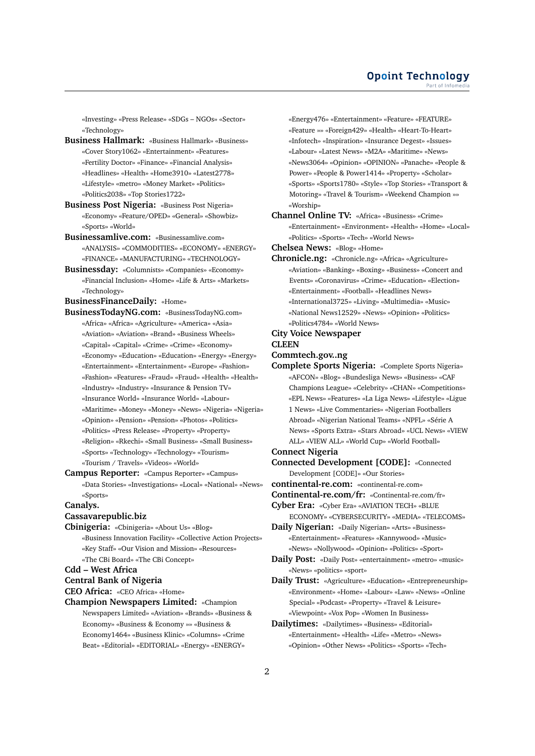«Investing» «Press Release» «SDGs – NGOs» «Sector» «Technology»

- **Business Hallmark:** «Business Hallmark» «Business» «Cover Story1062» «Entertainment» «Features» «Fertility Doctor» «Finance» «Financial Analysis» «Headlines» «Health» «Home3910» «Latest2778» «Lifestyle» «metro» «Money Market» «Politics» «Politics2038» «Top Stories1722»
- **Business Post Nigeria:** «Business Post Nigeria» «Economy» «Feature/OPED» «General» «Showbiz» «Sports» «World»
- **Businessamlive.com:** «Businessamlive.com» «ANALYSIS» «COMMODITIES» «ECONOMY» «ENERGY» «FINANCE» «MANUFACTURING» «TECHNOLOGY»
- **Businessday:** «Columnists» «Companies» «Economy» «Financial Inclusion» «Home» «Life & Arts» «Markets» «Technology»
- **BusinessFinanceDaily:** «Home»
- **BusinessTodayNG.com:** «BusinessTodayNG.com» «Africa» «Africa» «Agriculture» «America» «Asia» «Aviation» «Aviation» «Brand» «Business Wheels» «Capital» «Capital» «Crime» «Crime» «Economy» «Economy» «Education» «Education» «Energy» «Energy» «Entertainment» «Entertainment» «Europe» «Fashion» «Fashion» «Features» «Fraud» «Fraud» «Health» «Health» «Industry» «Industry» «Insurance & Pension TV» «Insurance World» «Insurance World» «Labour» «Maritime» «Money» «Money» «News» «Nigeria» «Nigeria» «Opinion» «Pension» «Pension» «Photos» «Politics» «Politics» «Press Release» «Property» «Property» «Religion» «Rkechi» «Small Business» «Small Business» «Sports» «Technology» «Technology» «Tourism» «Tourism / Travels» «Videos» «World»
- **Campus Reporter:** «Campus Reporter» «Campus» «Data Stories» «Investigations» «Local» «National» «News» «Sports»
- **Canalys.**

## **Cassavarepublic.biz**

**Cbinigeria:** «Cbinigeria» «About Us» «Blog» «Business Innovation Facility» «Collective Action Projects» «Key Staff» «Our Vision and Mission» «Resources» «The CBi Board» «The CBi Concept»

#### **Cdd – West Africa**

**Central Bank of Nigeria**

**CEO Africa:** «CEO Africa» «Home»

**Champion Newspapers Limited:** «Champion Newspapers Limited» «Aviation» «Brands» «Business & Economy» «Business & Economy »» «Business & Economy1464» «Business Klinic» «Columns» «Crime Beat» «Editorial» «EDITORIAL» «Energy» «ENERGY»

«Energy476» «Entertainment» «Feature» «FEATURE» «Feature »» «Foreign429» «Health» «Heart-To-Heart» «Infotech» «Inspiration» «Insurance Degest» «Issues» «Labour» «Latest News» «M2A» «Maritime» «News» «News3064» «Opinion» «OPINION» «Panache» «People & Power» «People & Power1414» «Property» «Scholar» «Sports» «Sports1780» «Style» «Top Stories» «Transport & Motoring» «Travel & Tourism» «Weekend Champion »» «Worship»

**Channel Online TV:** «Africa» «Business» «Crime» «Entertainment» «Environment» «Health» «Home» «Local» «Politics» «Sports» «Tech» «World News»

**Chelsea News:** «Blog» «Home»

**Chronicle.ng:** «Chronicle.ng» «Africa» «Agriculture» «Aviation» «Banking» «Boxing» «Business» «Concert and Events» «Coronavirus» «Crime» «Education» «Election» «Entertainment» «Football» «Headlines News» «International3725» «Living» «Multimedia» «Music» «National News12529» «News» «Opinion» «Politics» «Politics4784» «World News»

### **City Voice Newspaper**

#### **CLEEN**

**Commtech.gov..ng**

**Complete Sports Nigeria:** «Complete Sports Nigeria» «AFCON» «Blog» «Bundesliga News» «Business» «CAF Champions League» «Celebrity» «CHAN» «Competitions» «EPL News» «Features» «La Liga News» «Lifestyle» «Ligue 1 News» «Live Commentaries» «Nigerian Footballers Abroad» «Nigerian National Teams» «NPFL» «Série A News» «Sports Extra» «Stars Abroad» «UCL News» «VIEW ALL» «VIEW ALL» «World Cup» «World Football»

# **Connect Nigeria**

**Connected Development [CODE]:** «Connected Development [CODE]» «Our Stories»

**continental-re.com:** «continental-re.com»

**Continental-re.com/fr:** «Continental-re.com/fr»

**Cyber Era:** «Cyber Era» «AVIATION TECH» «BLUE ECONOMY» «CYBERSECURITY» «MEDIA» «TELECOMS»

- **Daily Nigerian:** «Daily Nigerian» «Arts» «Business» «Entertainment» «Features» «Kannywood» «Music» «News» «Nollywood» «Opinion» «Politics» «Sport»
- **Daily Post:** «Daily Post» «entertainment» «metro» «music» «News» «politics» «sport»

**Daily Trust:** «Agriculture» «Education» «Entrepreneurship» «Environment» «Home» «Labour» «Law» «News» «Online Special» «Podcast» «Property» «Travel & Leisure» «Viewpoint» «Vox Pop» «Women In Business»

**Dailytimes:** «Dailytimes» «Business» «Editorial» «Entertainment» «Health» «Life» «Metro» «News» «Opinion» «Other News» «Politics» «Sports» «Tech»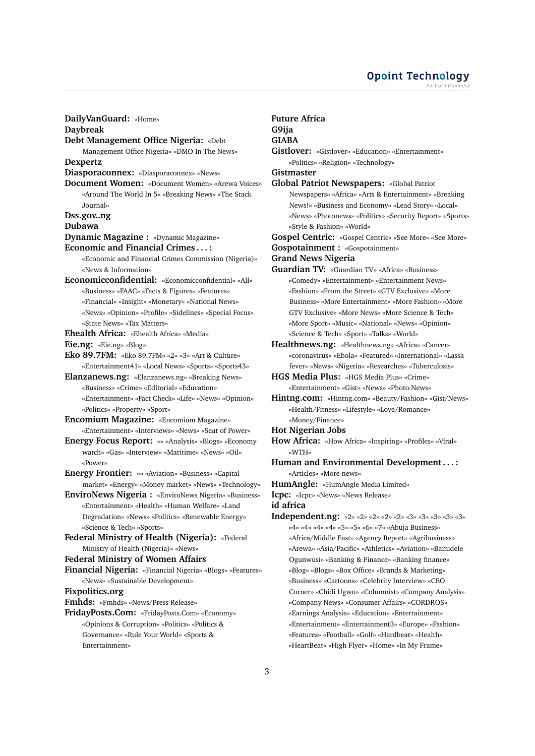**DailyVanGuard:** «Home» **Daybreak Debt Management Office Nigeria:** «Debt Management Office Nigeria» «DMO In The News» **Dexpertz Diasporaconnex:** «Diasporaconnex» «News» **Document Women:** «Document Women» «Arewa Voices» «Around The World In 5» «Breaking News» «The Stack Journal» **Dss.gov..ng Dubawa Dynamic Magazine :** «Dynamic Magazine» **Economic and Financial Crimes . . . :** «Economic and Financial Crimes Commission (Nigeria)» «News & Information» **Economicconfidential:** «Economicconfidential» «All» «Business» «FAAC» «Facts & Figures» «Features» «Financial» «Insight» «Monetary» «National News» «News» «Opinion» «Profile» «Sidelines» «Special Focus» «State News» «Tax Matters» **Ehealth Africa:** «Ehealth Africa» «Media» **Eie.ng:** «Eie.ng» «Blog» **Eko 89.7FM:** «Eko 89.7FM» «2» «3» «Art & Culture» «Entertainment41» «Local News» «Sports» «Sports43» **Elanzanews.ng:** «Elanzanews.ng» «Breaking News» «Business» «Crime» «Editorial» «Education» «Entertainment» «Fact Check» «Life» «News» «Opinion» «Politics» «Property» «Sport» **Encomium Magazine:** «Encomium Magazine» «Entertainment» «Interviews» «News» «Seat of Power» **Energy Focus Report:** «» «Analysis» «Blogs» «Economy watch» «Gas» «Interview» «Maritime» «News» «Oil» «Power» **Energy Frontier:** «» «Aviation» «Business» «Capital market» «Energy» «Money market» «News» «Technology» **EnviroNews Nigeria :** «EnviroNews Nigeria» «Business» «Entertainment» «Health» «Human Welfare» «Land Degradation» «News» «Politics» «Renewable Energy» «Science & Tech» «Sports» **Federal Ministry of Health (Nigeria):** «Federal Ministry of Health (Nigeria)» «News» **Federal Ministry of Women Affairs Financial Nigeria:** «Financial Nigeria» «Blogs» «Features» «News» «Sustainable Development» **Fixpolitics.org Fmhds:** «Fmhds» «News/Press Release» **FridayPosts.Com:** «FridayPosts.Com» «Economy» «Opinions & Corruption» «Politics» «Politics & Governance» «Rule Your World» «Sports & **G9ija**

Entertainment»

# **Future Africa**

# **GIABA**

**Gistlover:** «Gistlover» «Education» «Entertainment» «Politics» «Religion» «Technology» **Gistmaster**

**Global Patriot Newspapers:** «Global Patriot Newspapers» «Africa» «Arts & Entertainment» «Breaking News!» «Business and Economy» «Lead Story» «Local» «News» «Photonews» «Politics» «Security Report» «Sports» «Style & Fashion» «World»

**Gospel Centric:** «Gospel Centric» «See More» «See More»

**Gospotainment :** «Gospotainment»

### **Grand News Nigeria**

**Guardian TV:** «Guardian TV» «Africa» «Business» «Comedy» «Entertainment» «Entertainment News» «Fashion» «From the Street» «GTV Exclusive» «More Business» «More Entertainment» «More Fashion» «More GTV Exclusive» «More News» «More Science & Tech» «More Sport» «Music» «National» «News» «Opinion» «Science & Tech» «Sport» «Talks» «World»

**Healthnews.ng:** «Healthnews.ng» «Africa» «Cancer» «coronavirus» «Ebola» «Featured» «International» «Lassa fever» «News» «Nigeria» «Researches» «Tuberculosis»

- **HGS Media Plus:** «HGS Media Plus» «Crime» «Entertainment» «Gist» «News» «Photo News»
- **Hintng.com:** «Hintng.com» «Beauty/Fashion» «Gist/News» «Health/Fitness» «Lifestyle» «Love/Romance» «Money/Finance»

#### **Hot Nigerian Jobs**

- **How Africa:** «How Africa» «Inspiring» «Profiles» «Viral» «WTH»
- **Human and Environmental Development . . . :** «Articles» «More news»
- **HumAngle:** «HumAngle Media Limited»
- **Icpc:** «Icpc» «News» «News Release»

**id africa**

**Independent.ng:** «2» «2» «2» «2» «2» «3» «3» «3» «3» «3» «4» «4» «4» «4» «5» «5» «6» «7» «Abuja Business» «Africa/Middle East» «Agency Report» «Agribusiness» «Arewa» «Asia/Pacific» «Athletics» «Aviation» «Bamidele Ogunwusi» «Banking & Finance» «Banking finance» «Blog» «Blogs» «Box Office» «Brands & Marketing» «Business» «Cartoons» «Celebrity Interview» «CEO Corner» «Chidi Ugwu» «Columnist» «Company Analysis» «Company News» «Consumer Affairs» «CORDROS» «Earnings Analysis» «Education» «Entertainment» «Entertainment» «Entertainment3» «Europe» «Fashion» «Features» «Football» «Golf» «Hardbeat» «Health» «HeartBeat» «High Flyer» «Home» «In My Frame»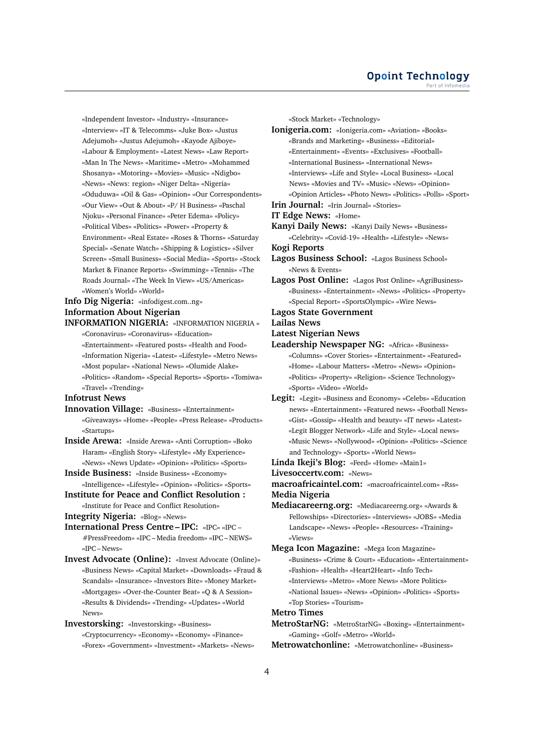«Independent Investor» «Industry» «Insurance» «Interview» «IT & Telecomms» «Juke Box» «Justus Adejumoh» «Justus Adejumoh» «Kayode Ajiboye» «Labour & Employment» «Latest News» «Law Report» «Man In The News» «Maritime» «Metro» «Mohammed Shosanya» «Motoring» «Movies» «Music» «Ndigbo» «News» «News: region» «Niger Delta» «Nigeria» «Oduduwa» «Oil & Gas» «Opinion» «Our Correspondents» «Our View» «Out & About» «P/ H Business» «Paschal Njoku» «Personal Finance» «Peter Edema» «Policy» «Political Vibes» «Politics» «Power» «Property & Environment» «Real Estate» «Roses & Thorns» «Saturday Special» «Senate Watch» «Shipping & Logistics» «Silver Screen» «Small Business» «Social Media» «Sports» «Stock Market & Finance Reports» «Swimming» «Tennis» «The Roads Journal» «The Week In View» «US/Americas» «Women's World» «World»

# **Info Dig Nigeria:** «infodigest.com..ng» **Information About Nigerian**

**INFORMATION NIGERIA:** «INFORMATION NIGERIA »

- «Coronavirus» «Coronavirus» «Education»
- «Entertainment» «Featured posts» «Health and Food»
- «Information Nigeria» «Latest» «Lifestyle» «Metro News»
- «Most popular» «National News» «Olumide Alake»
- «Politics» «Random» «Special Reports» «Sports» «Tomiwa» «Travel» «Trending»

# **Infotrust News**

- **Innovation Village:** «Business» «Entertainment» «Giveaways» «Home» «People» «Press Release» «Products» «Startups»
- **Inside Arewa:** «Inside Arewa» «Anti Corruption» «Boko Haram» «English Story» «Lifestyle» «My Experience» «News» «News Update» «Opinion» «Politics» «Sports»
- **Inside Business:** «Inside Business» «Economy» «Intelligence» «Lifestyle» «Opinion» «Politics» «Sports»
- **Institute for Peace and Conflict Resolution :**
	- «Institute for Peace and Conflict Resolution»

**Integrity Nigeria:** «Blog» «News»

- **International Press Centre IPC:** «IPC» «IPC #PressFreedom» «IPC – Media freedom» «IPC – NEWS» «IPC – News»
- **Invest Advocate (Online):** «Invest Advocate (Online)» «Business News» «Capital Market» «Downloads» «Fraud & Scandals» «Insurance» «Investors Bite» «Money Market» «Mortgages» «Over-the-Counter Beat» «Q & A Session» «Results & Dividends» «Trending» «Updates» «World News»

**Investorsking:** «Investorsking» «Business» «Cryptocurrency» «Economy» «Economy» «Finance» «Forex» «Government» «Investment» «Markets» «News» «Stock Market» «Technology»

**Ionigeria.com:** «Ionigeria.com» «Aviation» «Books» «Brands and Marketing» «Business» «Editorial» «Entertainment» «Events» «Exclusives» «Football» «International Business» «International News» «Interviews» «Life and Style» «Local Business» «Local News» «Movies and TV» «Music» «News» «Opinion» «Opinion Articles» «Photo News» «Politics» «Polls» «Sport»

**Irin Journal:** «Irin Journal» «Stories»

- **IT Edge News:** «Home»
- **Kanyi Daily News:** «Kanyi Daily News» «Business» «Celebrity» «Covid-19» «Health» «Lifestyle» «News»
- **Kogi Reports**
- **Lagos Business School:** «Lagos Business School» «News & Events»
- **Lagos Post Online:** «Lagos Post Online» «AgriBusiness» «Business» «Entertainment» «News» «Politics» «Property» «Special Report» «SportsOlympic» «Wire News»

#### **Lagos State Government**

**Lailas News**

- **Latest Nigerian News**
- **Leadership Newspaper NG:** «Africa» «Business» «Columns» «Cover Stories» «Entertainment» «Featured» «Home» «Labour Matters» «Metro» «News» «Opinion» «Politics» «Property» «Religion» «Science Technology» «Sports» «Video» «World»
- **Legit:** «Legit» «Business and Economy» «Celebs» «Education news» «Entertainment» «Featured news» «Football News» «Gist» «Gossip» «Health and beauty» «IT news» «Latest» «Legit Blogger Network» «Life and Style» «Local news» «Music News» «Nollywood» «Opinion» «Politics» «Science and Technology» «Sports» «World News»
- **Linda Ikeji's Blog:** «Feed» «Home» «Main1»
- **Livesoccertv.com:** «News»

**macroafricaintel.com:** «macroafricaintel.com» «Rss» **Media Nigeria**

**Mediacareerng.org:** «Mediacareerng.org» «Awards & Fellowships» «Directories» «Interviews» «JOBS» «Media Landscape» «News» «People» «Resources» «Training» «Views»

**Mega Icon Magazine:** «Mega Icon Magazine» «Business» «Crime & Court» «Education» «Entertainment» «Fashion» «Health» «Heart2Heart» «Info Tech» «Interviews» «Metro» «More News» «More Politics» «National Issues» «News» «Opinion» «Politics» «Sports» «Top Stories» «Tourism»

# **Metro Times**

**MetroStarNG:** «MetroStarNG» «Boxing» «Entertainment» «Gaming» «Golf» «Metro» «World»

**Metrowatchonline:** «Metrowatchonline» «Business»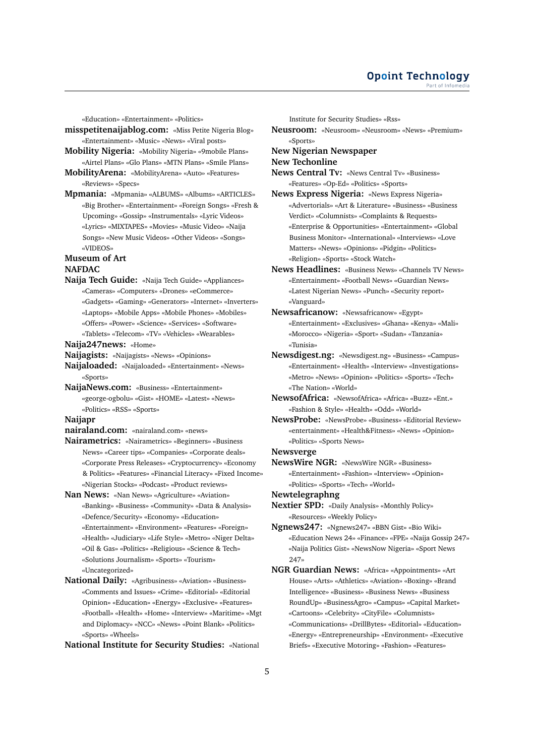«Education» «Entertainment» «Politics»

- **misspetitenaijablog.com:** «Miss Petite Nigeria Blog» «Entertainment» «Music» «News» «Viral posts»
- **Mobility Nigeria:** «Mobility Nigeria» «9mobile Plans» «Airtel Plans» «Glo Plans» «MTN Plans» «Smile Plans» **MobilityArena:** «MobilityArena» «Auto» «Features»
- «Reviews» «Specs»
- **Mpmania:** «Mpmania» «ALBUMS» «Albums» «ARTICLES» «Big Brother» «Entertainment» «Foreign Songs» «Fresh & Upcoming» «Gossip» «Instrumentals» «Lyric Videos» «Lyrics» «MIXTAPES» «Movies» «Music Video» «Naija Songs» «New Music Videos» «Other Videos» «Songs» «VIDEOS»

## **Museum of Art NAFDAC**

**Naija Tech Guide:** «Naija Tech Guide» «Appliances» «Cameras» «Computers» «Drones» «eCommerce» «Gadgets» «Gaming» «Generators» «Internet» «Inverters» «Laptops» «Mobile Apps» «Mobile Phones» «Mobiles» «Offers» «Power» «Science» «Services» «Software» «Tablets» «Telecom» «TV» «Vehicles» «Wearables»

**Naija247news:** «Home»

- **Naijagists:** «Naijagists» «News» «Opinions»
- **Naijaloaded:** «Naijaloaded» «Entertainment» «News» «Sports»
- **NaijaNews.com:** «Business» «Entertainment» «george-ogbolu» «Gist» «HOME» «Latest» «News» «Politics» «RSS» «Sports»

#### **Naijapr**

- **nairaland.com:** «nairaland.com» «news»
- **Nairametrics:** «Nairametrics» «Beginners» «Business News» «Career tips» «Companies» «Corporate deals» «Corporate Press Releases» «Cryptocurrency» «Economy & Politics» «Features» «Financial Literacy» «Fixed Income» «Nigerian Stocks» «Podcast» «Product reviews»
- **Nan News:** «Nan News» «Agriculture» «Aviation» «Banking» «Business» «Community» «Data & Analysis» «Defence/Security» «Economy» «Education» «Entertainment» «Environment» «Features» «Foreign» «Health» «Judiciary» «Life Style» «Metro» «Niger Delta» «Oil & Gas» «Politics» «Religious» «Science & Tech» «Solutions Journalism» «Sports» «Tourism» «Uncategorized»
- **National Daily:** «Agribusiness» «Aviation» «Business» «Comments and Issues» «Crime» «Editorial» «Editorial Opinion» «Education» «Energy» «Exclusive» «Features» «Football» «Health» «Home» «Interview» «Maritime» «Mgt and Diplomacy» «NCC» «News» «Point Blank» «Politics» «Sports» «Wheels»

**National Institute for Security Studies:** «National

Institute for Security Studies» «Rss»

**Neusroom:** «Neusroom» «Neusroom» «News» «Premium» «Sports»

# **New Nigerian Newspaper New Techonline**

- **News Central Tv:** «News Central Tv» «Business» «Features» «Op-Ed» «Politics» «Sports»
- **News Express Nigeria:** «News Express Nigeria» «Advertorials» «Art & Literature» «Business» «Business Verdict» «Columnists» «Complaints & Requests» «Enterprise & Opportunities» «Entertainment» «Global Business Monitor» «International» «Interviews» «Love Matters» «News» «Opinions» «Pidgin» «Politics» «Religion» «Sports» «Stock Watch»
- **News Headlines:** «Business News» «Channels TV News» «Entertainment» «Football News» «Guardian News» «Latest Nigerian News» «Punch» «Security report» «Vanguard»
- **Newsafricanow:** «Newsafricanow» «Egypt» «Entertainment» «Exclusives» «Ghana» «Kenya» «Mali» «Morocco» «Nigeria» «Sport» «Sudan» «Tanzania» «Tunisia»
- **Newsdigest.ng:** «Newsdigest.ng» «Business» «Campus» «Entertainment» «Health» «Interview» «Investigations» «Metro» «News» «Opinion» «Politics» «Sports» «Tech» «The Nation» «World»
- **NewsofAfrica:** «NewsofAfrica» «Africa» «Buzz» «Ent.» «Fashion & Style» «Health» «Odd» «World»
- **NewsProbe:** «NewsProbe» «Business» «Editorial Review» «entertainment» «Health&Fitness» «News» «Opinion» «Politics» «Sports News»
- **Newsverge**
- **NewsWire NGR:** «NewsWire NGR» «Business» «Entertainment» «Fashion» «Interview» «Opinion» «Politics» «Sports» «Tech» «World»
- **Newtelegraphng**
- **Nextier SPD:** «Daily Analysis» «Monthly Policy» «Resources» «Weekly Policy»
- **Ngnews247:** «Ngnews247» «BBN Gist» «Bio Wiki» «Education News 24» «Finance» «FPE» «Naija Gossip 247» «Naija Politics Gist» «NewsNow Nigeria» «Sport News 247»
- **NGR Guardian News:** «Africa» «Appointments» «Art House» «Arts» «Athletics» «Aviation» «Boxing» «Brand Intelligence» «Business» «Business News» «Business RoundUp» «BusinessAgro» «Campus» «Capital Market» «Cartoons» «Celebrity» «CityFile» «Columnists» «Communications» «DrillBytes» «Editorial» «Education» «Energy» «Entrepreneurship» «Environment» «Executive Briefs» «Executive Motoring» «Fashion» «Features»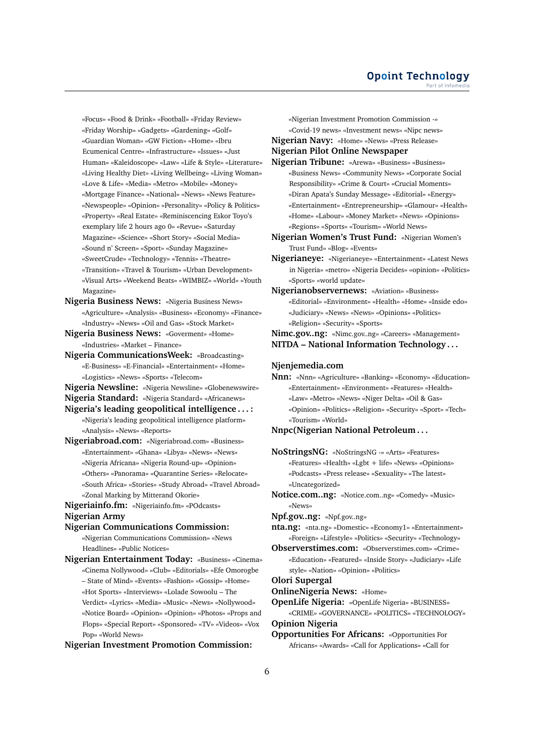«Focus» «Food & Drink» «Football» «Friday Review» «Friday Worship» «Gadgets» «Gardening» «Golf» «Guardian Woman» «GW Fiction» «Home» «Ibru Ecumenical Centre» «Infrastructure» «Issues» «Just Human» «Kaleidoscope» «Law» «Life & Style» «Literature» «Living Healthy Diet» «Living Wellbeing» «Living Woman» «Love & Life» «Media» «Metro» «Mobile» «Money» «Mortgage Finance» «National» «News» «News Feature» «Newspeople» «Opinion» «Personality» «Policy & Politics» «Property» «Real Estate» «Reminiscencing Eskor Toyo's exemplary life 2 hours ago 0» «Revue» «Saturday Magazine» «Science» «Short Story» «Social Media» «Sound n' Screen» «Sport» «Sunday Magazine» «SweetCrude» «Technology» «Tennis» «Theatre» «Transition» «Travel & Tourism» «Urban Development» «Visual Arts» «Weekend Beats» «WIMBIZ» «World» «Youth Magazine»

**Nigeria Business News:** «Nigeria Business News» «Agriculture» «Analysis» «Business» «Economy» «Finance» «Industry» «News» «Oil and Gas» «Stock Market»

**Nigeria Business News:** «Goverment» «Home» «Industries» «Market – Finance»

**Nigeria CommunicationsWeek:** «Broadcasting» «E-Business» «E-Financial» «Entertainment» «Home» «Logistics» «News» «Sports» «Telecom»

**Nigeria Newsline:** «Nigeria Newsline» «Globenewswire» **Nigeria Standard:** «Nigeria Standard» «Africanews»

**Nigeria's leading geopolitical intelligence . . . :** «Nigeria's leading geopolitical intelligence platform» «Analysis» «News» «Reports»

**Nigeriabroad.com:** «Nigeriabroad.com» «Business» «Entertainment» «Ghana» «Libya» «News» «News» «Nigeria Africana» «Nigeria Round-up» «Opinion» «Others» «Panorama» «Quarantine Series» «Relocate» «South Africa» «Stories» «Study Abroad» «Travel Abroad» «Zonal Marking by Mitterand Okorie»

**Nigeriainfo.fm:** «Nigeriainfo.fm» «POdcasts» **Nigerian Army**

**Nigerian Communications Commission:**

«Nigerian Communications Commission» «News Headlines» «Public Notices»

**Nigerian Entertainment Today:** «Business» «Cinema» «Cinema Nollywood» «Club» «Editorials» «Efe Omorogbe – State of Mind» «Events» «Fashion» «Gossip» «Home» «Hot Sports» «Interviews» «Lolade Sowoolu – The Verdict» «Lyrics» «Media» «Music» «News» «Nollywood» «Notice Board» «Opinion» «Opinion» «Photos» «Props and Flops» «Special Report» «Sponsored» «TV» «Videos» «Vox Pop» «World News»

**Nigerian Investment Promotion Commission:**

«Nigerian Investment Promotion Commission -» «Covid-19 news» «Investment news» «Nipc news» **Nigerian Navy:** «Home» «News» «Press Release» **Nigerian Pilot Online Newspaper**

**Nigerian Tribune:** «Arewa» «Business» «Business»

«Business News» «Community News» «Corporate Social Responsibility» «Crime & Court» «Crucial Moments» «Diran Apata's Sunday Message» «Editorial» «Energy» «Entertainment» «Entrepreneurship» «Glamour» «Health» «Home» «Labour» «Money Market» «News» «Opinions» «Regions» «Sports» «Tourism» «World News»

**Nigerian Women's Trust Fund:** «Nigerian Women's Trust Fund» «Blog» «Events»

**Nigerianeye:** «Nigerianeye» «Entertainment» «Latest News in Nigeria» «metro» «Nigeria Decides» «opinion» «Politics» «Sports» «world update»

**Nigerianobservernews:** «Aviation» «Business» «Editorial» «Environment» «Health» «Home» «Inside edo» «Judiciary» «News» «News» «Opinions» «Politics» «Religion» «Security» «Sports»

**Nimc.gov..ng:** «Nimc.gov..ng» «Careers» «Management» **NITDA – National Information Technology . . .**

#### **Njenjemedia.com**

**Nnn:** «Nnn» «Agriculture» «Banking» «Economy» «Education» «Entertainment» «Environment» «Features» «Health» «Law» «Metro» «News» «Niger Delta» «Oil & Gas» «Opinion» «Politics» «Religion» «Security» «Sport» «Tech» «Tourism» «World»

# **Nnpc(Nigerian National Petroleum . . .**

**NoStringsNG:** «NoStringsNG -» «Arts» «Features» «Features» «Health» «Lgbt + life» «News» «Opinions» «Podcasts» «Press release» «Sexuality» «The latest» «Uncategorized»

**Notice.com..ng:** «Notice.com..ng» «Comedy» «Music» «News»

**Npf.gov..ng:** «Npf.gov..ng»

**nta.ng:** «nta.ng» «Domestic» «Economy1» «Entertainment» «Foreign» «Lifestyle» «Politics» «Security» «Technology»

**Observerstimes.com:** «Observerstimes.com» «Crime» «Education» «Featured» «Inside Story» «Judiciary» «Life style» «Nation» «Opinion» «Politics»

## **Olori Supergal**

**OnlineNigeria News:** «Home»

**OpenLife Nigeria:** «OpenLife Nigeria» «BUSINESS»

«CRIME» «GOVERNANCE» «POLITICS» «TECHNOLOGY» **Opinion Nigeria**

**Opportunities For Africans:** «Opportunities For Africans» «Awards» «Call for Applications» «Call for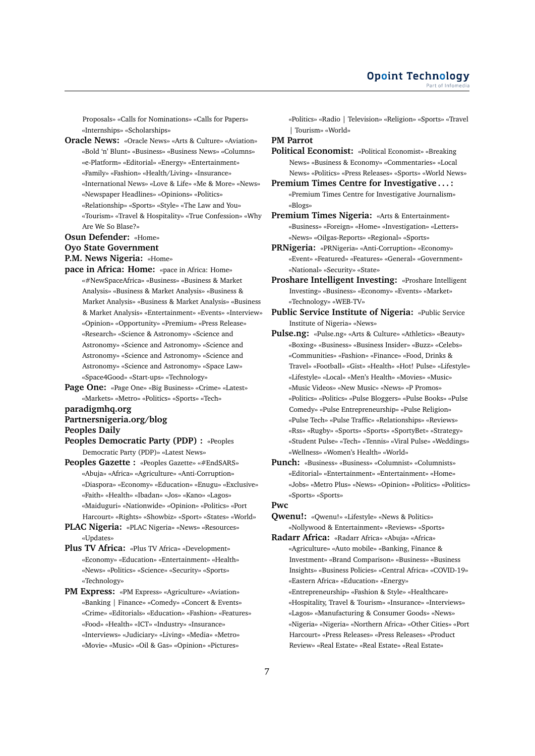Proposals» «Calls for Nominations» «Calls for Papers» «Internships» «Scholarships»

- **Oracle News:** «Oracle News» «Arts & Culture» «Aviation» «Bold 'n' Blunt» «Business» «Business News» «Columns» «e-Platform» «Editorial» «Energy» «Entertainment»
	- «Family» «Fashion» «Health/Living» «Insurance»
	- «International News» «Love & Life» «Me & More» «News»
	- «Newspaper Headlines» «Opinions» «Politics»
	- «Relationship» «Sports» «Style» «The Law and You» «Tourism» «Travel & Hospitality» «True Confession» «Why
- Are We So Blase?»

# **Osun Defender:** «Home»

# **Oyo State Government**

**P.M. News Nigeria:** «Home»

- **pace in Africa: Home:** «pace in Africa: Home» «#NewSpaceAfrica» «Business» «Business & Market Analysis» «Business & Market Analysis» «Business & Market Analysis» «Business & Market Analysis» «Business & Market Analysis» «Entertainment» «Events» «Interview» «Opinion» «Opportunity» «Premium» «Press Release» «Research» «Science & Astronomy» «Science and Astronomy» «Science and Astronomy» «Science and Astronomy» «Science and Astronomy» «Science and Astronomy» «Science and Astronomy» «Space Law» «Space4Good» «Start-ups» «Technology»
- **Page One:** «Page One» «Big Business» «Crime» «Latest» «Markets» «Metro» «Politics» «Sports» «Tech»

# **paradigmhq.org**

# **Partnersnigeria.org/blog**

- **Peoples Daily**
- **Peoples Democratic Party (PDP) :** «Peoples Democratic Party (PDP)» «Latest News»
- **Peoples Gazette :** «Peoples Gazette» «#EndSARS» «Abuja» «Africa» «Agriculture» «Anti-Corruption» «Diaspora» «Economy» «Education» «Enugu» «Exclusive» «Faith» «Health» «Ibadan» «Jos» «Kano» «Lagos» «Maiduguri» «Nationwide» «Opinion» «Politics» «Port Harcourt» «Rights» «Showbiz» «Sport» «States» «World»
- **PLAC Nigeria:** «PLAC Nigeria» «News» «Resources» «Updates»
- **Plus TV Africa:** «Plus TV Africa» «Development» «Economy» «Education» «Entertainment» «Health» «News» «Politics» «Science» «Security» «Sports» «Technology»
- **PM Express:** «PM Express» «Agriculture» «Aviation» «Banking | Finance» «Comedy» «Concert & Events» «Crime» «Editorials» «Education» «Fashion» «Features» «Food» «Health» «ICT» «Industry» «Insurance» «Interviews» «Judiciary» «Living» «Media» «Metro» «Movie» «Music» «Oil & Gas» «Opinion» «Pictures»

«Politics» «Radio | Television» «Religion» «Sports» «Travel | Tourism» «World»

#### **PM Parrot**

**Political Economist:** «Political Economist» «Breaking News» «Business & Economy» «Commentaries» «Local News» «Politics» «Press Releases» «Sports» «World News»

- **Premium Times Centre for Investigative . . . :** «Premium Times Centre for Investigative Journalism» «Blogs»
- **Premium Times Nigeria:** «Arts & Entertainment» «Business» «Foreign» «Home» «Investigation» «Letters» «News» «Oilgas-Reports» «Regional» «Sports»
- **PRNigeria:** «PRNigeria» «Anti-Corruption» «Economy» «Event» «Featured» «Features» «General» «Government» «National» «Security» «State»
- **Proshare Intelligent Investing:** «Proshare Intelligent Investing» «Business» «Economy» «Events» «Market» «Technology» «WEB-TV»
- **Public Service Institute of Nigeria:** «Public Service Institute of Nigeria» «News»
- **Pulse.ng:** «Pulse.ng» «Arts & Culture» «Athletics» «Beauty» «Boxing» «Business» «Business Insider» «Buzz» «Celebs» «Communities» «Fashion» «Finance» «Food, Drinks & Travel» «Football» «Gist» «Health» «Hot! Pulse» «Lifestyle» «Lifestyle» «Local» «Men's Health» «Movies» «Music» «Music Videos» «New Music» «News» «P Promos» «Politics» «Politics» «Pulse Bloggers» «Pulse Books» «Pulse Comedy» «Pulse Entrepreneurship» «Pulse Religion» «Pulse Tech» «Pulse Traffic» «Relationships» «Reviews» «Rss» «Rugby» «Sports» «Sports» «SportyBet» «Strategy» «Student Pulse» «Tech» «Tennis» «Viral Pulse» «Weddings» «Wellness» «Women's Health» «World»
- **Punch:** «Business» «Business» «Columnist» «Columnists» «Editorial» «Entertainment» «Entertainment» «Home» «Jobs» «Metro Plus» «News» «Opinion» «Politics» «Politics» «Sports» «Sports»

# **Pwc**

- **Qwenu!:** «Qwenu!» «Lifestyle» «News & Politics» «Nollywood & Entertainment» «Reviews» «Sports»
- **Radarr Africa:** «Radarr Africa» «Abuja» «Africa» «Agriculture» «Auto mobile» «Banking, Finance & Investment» «Brand Comparison» «Business» «Business Insights» «Business Policies» «Central Africa» «COVID-19» «Eastern Africa» «Education» «Energy» «Entrepreneurship» «Fashion & Style» «Healthcare» «Hospitality, Travel & Tourism» «Insurance» «Interviews» «Lagos» «Manufacturing & Consumer Goods» «News» «Nigeria» «Nigeria» «Northern Africa» «Other Cities» «Port Harcourt» «Press Releases» «Press Releases» «Product Review» «Real Estate» «Real Estate» «Real Estate»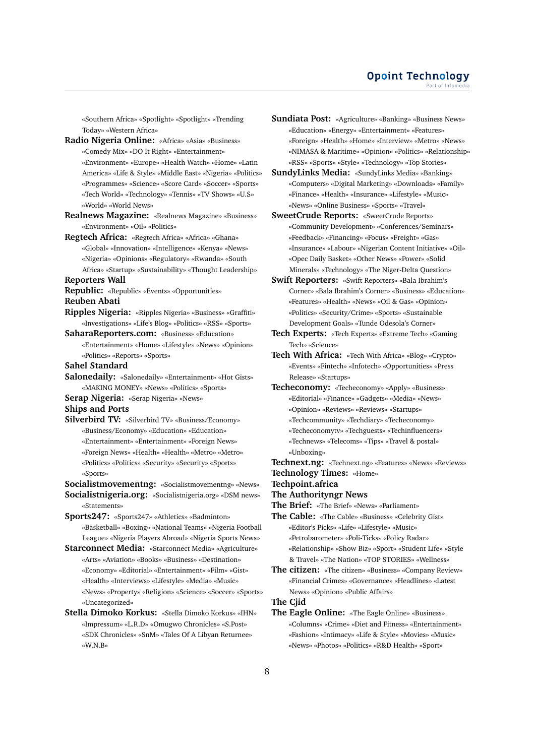«Southern Africa» «Spotlight» «Spotlight» «Trending Today» «Western Africa»

**Radio Nigeria Online:** «Africa» «Asia» «Business» «Comedy Mix» «DO It Right» «Entertainment» «Environment» «Europe» «Health Watch» «Home» «Latin America» «Life & Style» «Middle East» «Nigeria» «Politics» «Programmes» «Science» «Score Card» «Soccer» «Sports» «Tech World» «Technology» «Tennis» «TV Shows» «U.S» «World» «World News»

**Realnews Magazine:** «Realnews Magazine» «Business» «Environment» «Oil» «Politics»

**Regtech Africa:** «Regtech Africa» «Africa» «Ghana» «Global» «Innovation» «Intelligence» «Kenya» «News» «Nigeria» «Opinions» «Regulatory» «Rwanda» «South Africa» «Startup» «Sustainability» «Thought Leadership»

# **Reporters Wall**

- **Republic:** «Republic» «Events» «Opportunities» **Reuben Abati**
- **Ripples Nigeria:** «Ripples Nigeria» «Business» «Graffiti» «Investigations» «Life's Blog» «Politics» «RSS» «Sports»

**SaharaReporters.com:** «Business» «Education» «Entertainment» «Home» «Lifestyle» «News» «Opinion» «Politics» «Reports» «Sports»

## **Sahel Standard**

**Salonedaily:** «Salonedaily» «Entertainment» «Hot Gists» «MAKING MONEY» «News» «Politics» «Sports»

**Serap Nigeria:** «Serap Nigeria» «News»

## **Ships and Ports**

**Silverbird TV:** «Silverbird TV» «Business/Economy» «Business/Economy» «Education» «Education» «Entertainment» «Entertainment» «Foreign News» «Foreign News» «Health» «Health» «Metro» «Metro» «Politics» «Politics» «Security» «Security» «Sports» «Sports»

**Socialistmovementng:** «Socialistmovementng» «News» **Socialistnigeria.org:** «Socialistnigeria.org» «DSM news»

- «Statements»
- **Sports247:** «Sports247» «Athletics» «Badminton» «Basketball» «Boxing» «National Teams» «Nigeria Football League» «Nigeria Players Abroad» «Nigeria Sports News»

**Starconnect Media:** «Starconnect Media» «Agriculture» «Arts» «Aviation» «Books» «Business» «Destination» «Economy» «Editorial» «Entertainment» «Film» «Gist» «Health» «Interviews» «Lifestyle» «Media» «Music» «News» «Property» «Religion» «Science» «Soccer» «Sports» «Uncategorized»

**Sundiata Post:** «Agriculture» «Banking» «Business News» «Education» «Energy» «Entertainment» «Features» «Foreign» «Health» «Home» «Interview» «Metro» «News» «NIMASA & Maritime» «Opinion» «Politics» «Relationship» «RSS» «Sports» «Style» «Technology» «Top Stories»

**SundyLinks Media:** «SundyLinks Media» «Banking» «Computers» «Digital Marketing» «Downloads» «Family» «Finance» «Health» «Insurance» «Lifestyle» «Music» «News» «Online Business» «Sports» «Travel»

**SweetCrude Reports:** «SweetCrude Reports» «Community Development» «Conferences/Seminars» «Feedback» «Financing» «Focus» «Freight» «Gas» «Insurance» «Labour» «Nigerian Content Initiative» «Oil» «Opec Daily Basket» «Other News» «Power» «Solid Minerals» «Technology» «The Niger-Delta Question»

**Swift Reporters:** «Swift Reporters» «Bala Ibrahim's Corner» «Bala Ibrahim's Corner» «Business» «Education» «Features» «Health» «News» «Oil & Gas» «Opinion» «Politics» «Security/Crime» «Sports» «Sustainable Development Goals» «Tunde Odesola's Corner»

**Tech Experts:** «Tech Experts» «Extreme Tech» «Gaming Tech» «Science»

**Tech With Africa:** «Tech With Africa» «Blog» «Crypto» «Events» «Fintech» «Infotech» «Opportunities» «Press Release» «Startups»

**Techeconomy:** «Techeconomy» «Apply» «Business» «Editorial» «Finance» «Gadgets» «Media» «News» «Opinion» «Reviews» «Reviews» «Startups» «Techcommunity» «Techdiary» «Techeconomy» «Techeconomytv» «Techguests» «Techinfluencers» «Technews» «Telecoms» «Tips» «Travel & postal» «Unboxing»

**Technext.ng:** «Technext.ng» «Features» «News» «Reviews» **Technology Times:** «Home»

#### **Techpoint.africa**

- **The Authorityngr News**
- **The Brief:** «The Brief» «News» «Parliament»

**The Cable:** «The Cable» «Business» «Celebrity Gist» «Editor's Picks» «Life» «Lifestyle» «Music» «Petrobarometer» «Poli-Ticks» «Policy Radar» «Relationship» «Show Biz» «Sport» «Student Life» «Style & Travel» «The Nation» «TOP STORIES» «Wellness»

**The citizen:** «The citizen» «Business» «Company Review» «Financial Crimes» «Governance» «Headlines» «Latest News» «Opinion» «Public Affairs»

**The Cjid**

**The Eagle Online:** «The Eagle Online» «Business» «Columns» «Crime» «Diet and Fitness» «Entertainment» «Fashion» «Intimacy» «Life & Style» «Movies» «Music» «News» «Photos» «Politics» «R&D Health» «Sport»

**Stella Dimoko Korkus:** «Stella Dimoko Korkus» «IHN» «Impressum» «L.R.D» «Omugwo Chronicles» «S.Post» «SDK Chronicles» «SnM» «Tales Of A Libyan Returnee» «W.N.B»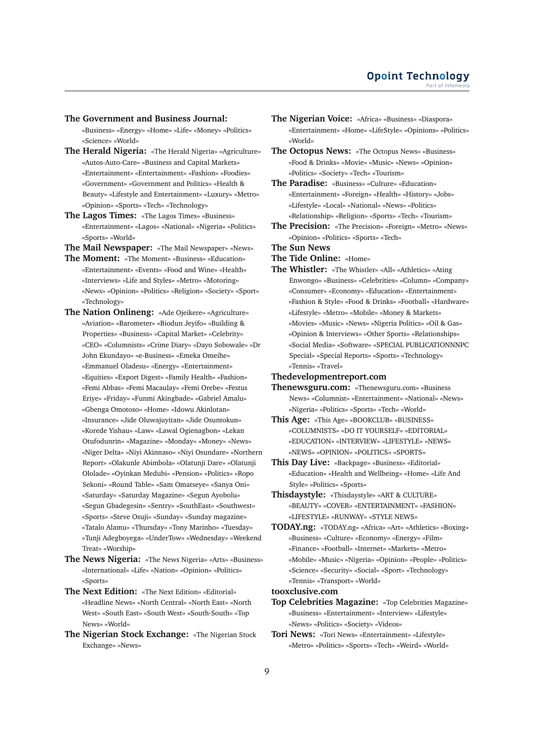#### **The Government and Business Journal:**

«Business» «Energy» «Home» «Life» «Money» «Politics» «Science» «World»

- **The Herald Nigeria:** «The Herald Nigeria» «Agriculture» «Autos-Auto-Care» «Business and Capital Markets» «Entertainment» «Entertainment» «Fashion» «Foodies» «Government» «Government and Politics» «Health & Beauty» «Lifestyle and Entertainment» «Luxury» «Metro» «Opinion» «Sports» «Tech» «Technology»
- **The Lagos Times:** «The Lagos Times» «Business» «Entertainment» «Lagos» «National» «Nigeria» «Politics» «Sports» «World»

**The Mail Newspaper:** «The Mail Newspaper» «News»

- **The Moment:** «The Moment» «Business» «Education» «Entertainment» «Events» «Food and Wine» «Health» «Interviews» «Life and Styles» «Metro» «Motoring» «News» «Opinion» «Politics» «Religion» «Society» «Sport» «Technology»
- **The Nation Onlineng:** «Ade Ojeikere» «Agriculture» «Aviation» «Barometer» «Biodun Jeyifo» «Building & Properties» «Business» «Capital Market» «Celebrity» «CEO» «Columnists» «Crime Diary» «Dayo Sobowale» «Dr John Ekundayo» «e-Business» «Emeka Omeihe» «Emmanuel Oladesu» «Energy» «Entertainment» «Equities» «Export Digest» «Family Health» «Fashion» «Femi Abbas» «Femi Macaulay» «Femi Orebe» «Festus Eriye» «Friday» «Funmi Akingbade» «Gabriel Amalu» «Gbenga Omotoso» «Home» «Idowu Akinlotan» «Insurance» «Jide Oluwajuyitan» «Jide Osuntokun» «Korede Yishau» «Law» «Lawal Ogienagbon» «Lekan Otufodunrin» «Magazine» «Monday» «Money» «News» «Niger Delta» «Niyi Akinnaso» «Niyi Osundare» «Northern Report» «Olakunle Abimbola» «Olatunji Dare» «Olatunji Ololade» «Oyinkan Medubi» «Pension» «Politics» «Ropo Sekoni» «Round Table» «Sam Omatseye» «Sanya Oni» «Saturday» «Saturday Magazine» «Segun Ayobolu» «Segun Gbadegesin» «Sentry» «SouthEast» «Southwest» «Sports» «Steve Osuji» «Sunday» «Sunday magazine» «Tatalo Alamu» «Thursday» «Tony Marinho» «Tuesday» «Tunji Adegboyega» «UnderTow» «Wednesday» «Weekend Treat» «Worship»
- **The News Nigeria:** «The News Nigeria» «Arts» «Business» «International» «Life» «Nation» «Opinion» «Politics» «Sports»
- **The Next Edition:** «The Next Edition» «Editorial» «Headline News» «North Central» «North East» «North West» «South East» «South West» «South-South» «Top News» «World»
- **The Nigerian Stock Exchange:** «The Nigerian Stock Exchange» «News»
- **The Nigerian Voice:** «Africa» «Business» «Diaspora» «Entertainment» «Home» «LifeStyle» «Opinions» «Politics» «World»
- **The Octopus News:** «The Octopus News» «Business» «Food & Drinks» «Movie» «Music» «News» «Opinion» «Politics» «Society» «Tech» «Tourism»
- **The Paradise:** «Business» «Culture» «Education» «Entertainment» «Foreign» «Health» «History» «Jobs» «Lifestyle» «Local» «National» «News» «Politics» «Relationship» «Religion» «Sports» «Tech» «Tourism»
- **The Precision:** «The Precision» «Foreign» «Metro» «News» «Opinion» «Politics» «Sports» «Tech»
- **The Sun News**

# **The Tide Online:** «Home»

**The Whistler:** «The Whistler» «All» «Athletics» «Ating Enwongo» «Business» «Celebrities» «Column» «Company» «Consumer» «Economy» «Education» «Entertainment» «Fashion & Style» «Food & Drinks» «Football» «Hardware» «Lifestyle» «Metro» «Mobile» «Money & Markets» «Movies» «Music» «News» «Nigeria Politics» «Oil & Gas» «Opinion & Interviews» «Other Sports» «Relationships» «Social Media» «Software» «SPECIAL PUBLICATIONNNPC Special» «Special Reports» «Sports» «Technology» «Tennis» «Travel»

## **Thedevelopmentreport.com**

- **Thenewsguru.com:** «Thenewsguru.com» «Business News» «Columnist» «Entertainment» «National» «News» «Nigeria» «Politics» «Sports» «Tech» «World»
- **This Age:** «This Age» «BOOKCLUB» «BUSINESS» «COLUMNISTS» «DO IT YOURSELF» «EDITORIAL» «EDUCATION» «INTERVIEW» «LIFESTYLE» «NEWS» «NEWS» «OPINION» «POLITICS» «SPORTS»
- **This Day Live:** «Backpage» «Business» «Editorial» «Education» «Health and Wellbeing» «Home» «Life And Style» «Politics» «Sports»
- **Thisdaystyle:** «Thisdaystyle» «ART & CULTURE» «BEAUTY» «COVER» «ENTERTAINMENT» «FASHION» «LIFESTYLE» «RUNWAY» «STYLE NEWS»
- **TODAY.ng:** «TODAY.ng» «Africa» «Art» «Athletics» «Boxing» «Business» «Culture» «Economy» «Energy» «Film» «Finance» «Football» «Internet» «Markets» «Metro» «Mobile» «Music» «Nigeria» «Opinion» «People» «Politics» «Science» «Security» «Social» «Sport» «Technology» «Tennis» «Transport» «World»

#### **tooxclusive.com**

- **Top Celebrities Magazine:** «Top Celebrities Magazine» «Business» «Entertainment» «Interview» «Lifestyle» «News» «Politics» «Society» «Videos»
- **Tori News:** «Tori News» «Entertainment» «Lifestyle» «Metro» «Politics» «Sports» «Tech» «Weird» «World»